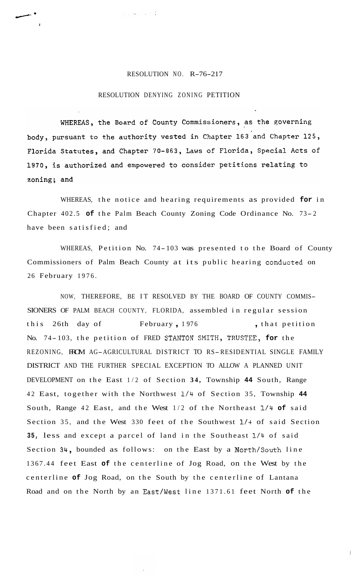## RESOLUTION NO. R-76-217

## RESOLUTION DENYING ZONING PETITION

 $\mathcal{L}_{\mathcal{A}}$  , and  $\mathcal{L}_{\mathcal{A}}$ 

/'

**1** 

WHEREAS, the Board of County Commissioners, as the governing body, pursuant to the authority vested in Chapter 163 and Chapter 125, Florida Statutes, and Chapter 70-863, Laws of Florida, Special Acts of 1970, is authorized and empowered to consider petitions relating to zoning; and

WHEREAS, the notice and hearing requirements as provided **for** in Chapter 402.5 of the Palm Beach County Zoning Code Ordinance No. 73-2 have been satisfied; and

WHEREAS, Petition No. 74- 103 was presented to the Board of County Commissioners of Palm Beach County at its public hearing condwcted on 26 February 1976.

NOW, THEREFORE, BE IT RESOLVED BY THE BOARD OF COUNTY COMMIS-SIONERS OF PALM BEACH COUNTY, FLORIDA, assembled in regular session this 26th day of February, 1976, that petition No. 74-103, the petition of FRED STANTON SMITH, TRUSTEE, for the REZONING, FROM AG-AGRICULTURAL DISTRICT TO RS-RESIDENTIAL SINGLE FAMILY DISTRICT AND THE FURTHER SPECIAL EXCEPTION TO ALLOW A PLANNED UNIT DEVELOPMENT on the East 1/2 of Section **34,** Township **44** South, Range 42 East, together with the Northwest **1/4** of Section 35, Township **44**  South, Range 42 East, and the West 1/2 of the Northeast **1/4 of** said Section 35, and the West 330 feet of the Southwest **1/4** of said Section **35,** less and except a parcel of land in the Southeast **1/4** of said Section 34, bounded as follows: on the East by a North/South line 1367.44 feet East **of** the centerline of Jog Road, on the West by the centerline **of** Jog Road, on the South by the centerline of Lantana Road and on the North by an East/West line 1371.61 feet North **of** the